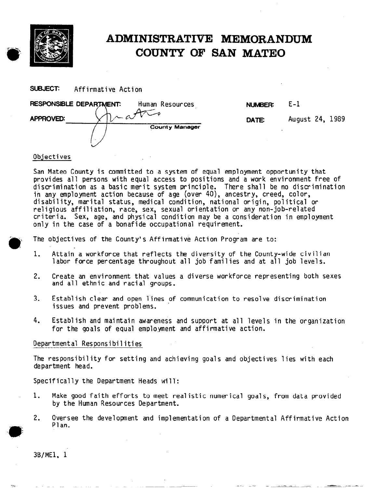

# ADMINISTRATIVE MEMORANDUM COUNTY OF SAN MATE0

 $E - 1$ 

August 24, 1989

SUBJECT: Affirmative Action

| RESPONSIBLE DEPARTMENT:<br>Human Resources | NUMBER: |
|--------------------------------------------|---------|
| <b>APPROVED:</b>                           | DATE    |
| <b>County Manager</b>                      |         |

# Objectives

I-  $\ddotsc$ 

San Mateo County is committed to a system of equal employment opportunity that provides all persons with equal access to positions and a work environment free of discrimination as a basic merit system principle. There shall be no discrimination in any employment action because of age (over 40), ancestry, creed, color, disability, marital status, medical condition, national origin, political or religious affiliation, race, sex, sexual orientation or any non-job-related criteria. Sex, age, and physical condition may be a consideration in employment only in the case of a bonafide occupational requirement.

The objectives of the County's Affirmative Action Program are to:

- 1. Attain a workforce that reflects the diversity of the County-wide civilian labor force percentage throughout all job families and at all job levels.
- 2. Create an environment that values a diverse workforce representing both sexes and all ethnic and racial groups.
- issues and prevent problems. . 3. Establish clear and open lines of communication to resolve discrimination
- 4. Establish and maintain awareness and support at all levels in the organization for the goals of equal employment and affirmative actio

## Departmental Responsibilities -

The responsibility for setting and achieving goals and objectives lies with each department head.

Specifically the Department Heads will:

- 1. Make good faith efforts to meet realistic numerical goals, from data provided by the Human Resources Department.
- 2. Oversee the development and implementation of a Departmental Affirmative Action Plan.

3B/MEl, 1

 $\blacktriangleright$ em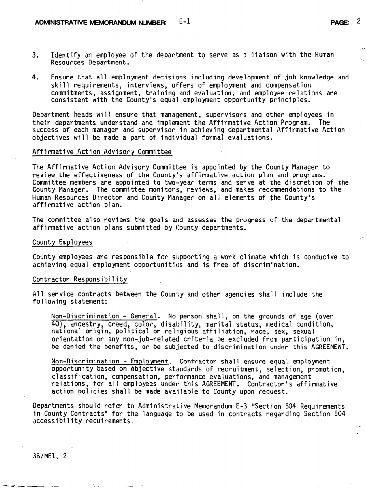- 3. Identify an employee of the department to serve as a liaison with the Human Resources Department.
- 4. Ensure that all employment decisions including development of job knowledge and skill requirements, interviews, offers of employment and compensation commitments, assignment, training and evaluation, and employee.relations are consistent with the County's equal employment opportunity principles.

Department heads will ensure that management, supervisors and other employees in their departments understand and implement the Affirmative Action Program. The success of each manager and supervisor in achieving departmental Affirmative Action objectives will be made a part of individual formal evaluations.

#### Affirmative Action Advisory Committee

The Affirmative Action Advisory Committee is appointed by the County Manager to review the effectiveness of the County's affirmative action plan and programs. Committee members are appointed to two--year terms and serve at the discretion of the County Manager. The committee monitors, reviews, and makes recommendations to the Human Resources Director and County Manager on all elements of the County's affirmative action plan.

The committee also reviews the goals and assesses the progress of the departmental affirmative action plans submitted by County departments.

County Employees

County employees are responsible for supporting a work climate which is conducive to achieving equal employment opportunities and is free of discrimination.

## Contractor Responsibility

All service contracts between the County and other agencies shall include the following statement:

Non-Discrimination - General. No person shall, on the grounds of age (over 40), ancestry, creed, color, disability, marital status, medical condition, national origin, political or religious affiliation, race, sex, sexual orientation or any non-job-related criteria be excluded from participation in, be denied the benefits, or be subjected to discrimination under this AGREEMENT.

Non-Discrimination - Employment. Contractor shall ensure equal employment opportunity based on objective standards of recruitment, selection, promotion, classification, compensation, performance evaluations, and management relations, for all employees under this AGREEMENT. Contractor's affirmative action policies shall be made available to County upon request.

Departments should refer to Administrative Memorandum E-3 "Section 504 Requirements in County Contracts" for the language to be used in contracts regarding Section 504 accessibility requirements.

3B/MEl, 2

fl/

 $\mathcal{L}^{\pm}$